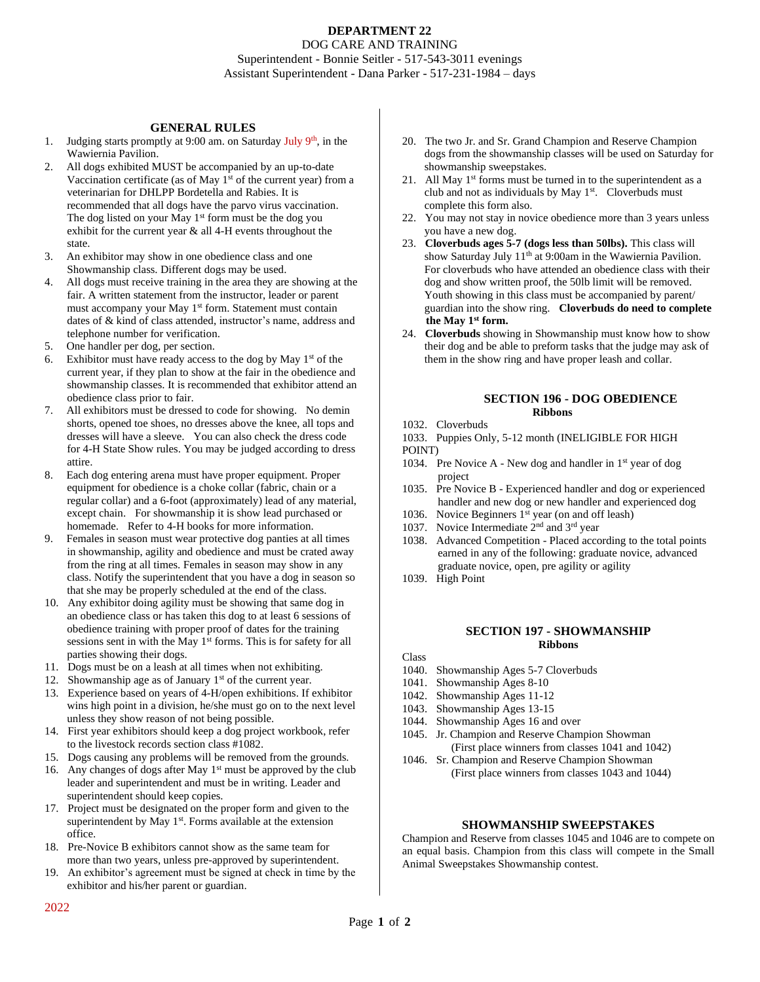# **DEPARTMENT 22** DOG CARE AND TRAINING Superintendent - Bonnie Seitler - 517-543-3011 evenings Assistant Superintendent - Dana Parker - 517-231-1984 – days

## **GENERAL RULES**

- 1. Judging starts promptly at 9:00 am. on Saturday July 9<sup>th</sup>, in the Wawiernia Pavilion.
- 2. All dogs exhibited MUST be accompanied by an up-to-date Vaccination certificate (as of May  $1<sup>st</sup>$  of the current year) from a veterinarian for DHLPP Bordetella and Rabies. It is recommended that all dogs have the parvo virus vaccination. The dog listed on your May 1<sup>st</sup> form must be the dog you exhibit for the current year & all 4-H events throughout the state.
- 3. An exhibitor may show in one obedience class and one Showmanship class. Different dogs may be used.
- 4. All dogs must receive training in the area they are showing at the fair. A written statement from the instructor, leader or parent must accompany your May 1<sup>st</sup> form. Statement must contain dates of & kind of class attended, instructor's name, address and telephone number for verification.
- 5. One handler per dog, per section.
- 6. Exhibitor must have ready access to the dog by May  $1<sup>st</sup>$  of the current year, if they plan to show at the fair in the obedience and showmanship classes. It is recommended that exhibitor attend an obedience class prior to fair.
- 7. All exhibitors must be dressed to code for showing. No demin shorts, opened toe shoes, no dresses above the knee, all tops and dresses will have a sleeve. You can also check the dress code for 4-H State Show rules. You may be judged according to dress attire.
- 8. Each dog entering arena must have proper equipment. Proper equipment for obedience is a choke collar (fabric, chain or a regular collar) and a 6-foot (approximately) lead of any material, except chain. For showmanship it is show lead purchased or homemade. Refer to 4-H books for more information.
- 9. Females in season must wear protective dog panties at all times in showmanship, agility and obedience and must be crated away from the ring at all times. Females in season may show in any class. Notify the superintendent that you have a dog in season so that she may be properly scheduled at the end of the class.
- 10. Any exhibitor doing agility must be showing that same dog in an obedience class or has taken this dog to at least 6 sessions of obedience training with proper proof of dates for the training sessions sent in with the May 1<sup>st</sup> forms. This is for safety for all parties showing their dogs.
- 11. Dogs must be on a leash at all times when not exhibiting.
- 12. Showmanship age as of January  $1<sup>st</sup>$  of the current year.
- 13. Experience based on years of 4-H/open exhibitions. If exhibitor wins high point in a division, he/she must go on to the next level unless they show reason of not being possible.
- 14. First year exhibitors should keep a dog project workbook, refer to the livestock records section class #1082.
- 15. Dogs causing any problems will be removed from the grounds.
- 16. Any changes of dogs after May  $1<sup>st</sup>$  must be approved by the club leader and superintendent and must be in writing. Leader and superintendent should keep copies.
- 17. Project must be designated on the proper form and given to the superintendent by May  $1<sup>st</sup>$ . Forms available at the extension office.
- 18. Pre-Novice B exhibitors cannot show as the same team for more than two years, unless pre-approved by superintendent.
- 19. An exhibitor's agreement must be signed at check in time by the exhibitor and his/her parent or guardian.
- 20. The two Jr. and Sr. Grand Champion and Reserve Champion dogs from the showmanship classes will be used on Saturday for showmanship sweepstakes.
- 21. All May  $1<sup>st</sup>$  forms must be turned in to the superintendent as a club and not as individuals by May  $1<sup>st</sup>$ . Cloverbuds must complete this form also.
- 22. You may not stay in novice obedience more than 3 years unless you have a new dog.
- 23. **Cloverbuds ages 5-7 (dogs less than 50lbs).** This class will show Saturday July 11<sup>th</sup> at 9:00am in the Wawiernia Pavilion. For cloverbuds who have attended an obedience class with their dog and show written proof, the 50lb limit will be removed. Youth showing in this class must be accompanied by parent/ guardian into the show ring. **Cloverbuds do need to complete the May 1st form.**
- 24. **Cloverbuds** showing in Showmanship must know how to show their dog and be able to preform tasks that the judge may ask of them in the show ring and have proper leash and collar.

#### **SECTION 196 - DOG OBEDIENCE Ribbons**

- 1032. Cloverbuds
- 1033. Puppies Only, 5-12 month (INELIGIBLE FOR HIGH
- POINT)
- 1034. Pre Novice A New dog and handler in 1<sup>st</sup> year of dog project
- 1035. Pre Novice B Experienced handler and dog or experienced handler and new dog or new handler and experienced dog
- 1036. Novice Beginners  $1<sup>st</sup>$  year (on and off leash)
- 1037. Novice Intermediate 2<sup>nd</sup> and 3<sup>rd</sup> year
- 1038. Advanced Competition Placed according to the total points earned in any of the following: graduate novice, advanced graduate novice, open, pre agility or agility
- 1039. High Point

### **SECTION 197 - SHOWMANSHIP Ribbons**

#### Class

- 1040. Showmanship Ages 5-7 Cloverbuds
- 1041. Showmanship Ages 8-10
- 1042. Showmanship Ages 11-12
- 1043. Showmanship Ages 13-15
- 1044. Showmanship Ages 16 and over
- 1045. Jr. Champion and Reserve Champion Showman (First place winners from classes 1041 and 1042)
- 1046. Sr. Champion and Reserve Champion Showman (First place winners from classes 1043 and 1044)

# **SHOWMANSHIP SWEEPSTAKES**

Champion and Reserve from classes 1045 and 1046 are to compete on an equal basis. Champion from this class will compete in the Small Animal Sweepstakes Showmanship contest.